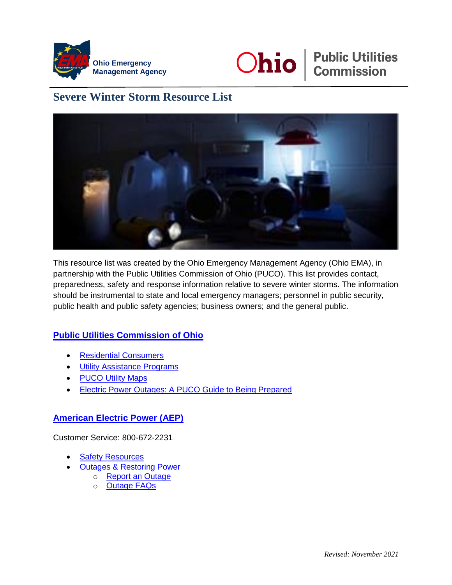



# **Ohio** *eublic Utilities* Commission

## **Severe Winter Storm Resource List**



This resource list was created by the Ohio Emergency Management Agency (Ohio EMA), in partnership with the Public Utilities Commission of Ohio (PUCO). This list provides contact, preparedness, safety and response information relative to severe winter storms. The information should be instrumental to state and local emergency managers; personnel in public security, public health and public safety agencies; business owners; and the general public.

## **[Public Utilities Commission of Ohio](https://puco.ohio.gov/wps/portal/gov/puco/)**

- [Residential Consumers](https://puco.ohio.gov/wps/portal/gov/puco/consumers)
- **[Utility Assistance Programs](https://puco.ohio.gov/wps/portal/gov/puco/utilities/electricity/resources/utility-assistance-programs)**
- [PUCO Utility Maps](https://puco.ohio.gov/wps/portal/gov/puco/utilities/utility-maps)
- **[Electric Power Outages: A PUCO Guide to Being Prepared](https://puco.ohio.gov/wps/portal/gov/puco/utilities/electricity/resources/electric-power-outages-a-puco-guide-to-being-prepared)**

## **[American Electric Power](https://www.aepohio.com/) (AEP)**

Customer Service: 800-672-2231

- [Safety Resources](https://www.aepohio.com/safety/)
- [Outages & Restoring](https://www.aepohio.com/outages/) Power
	- o [Report an Outage](https://www.aepohio.com/outages/report/)
	- o [Outage FAQs](https://www.aepohio.com/outages/faq/)